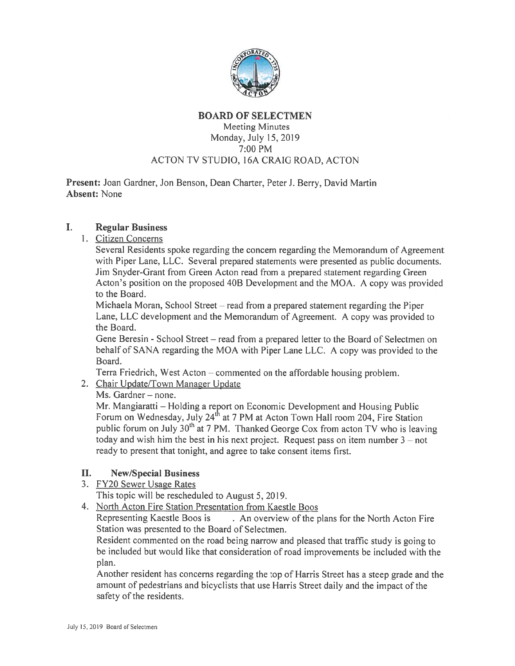

#### BOARD OF SELECTMEN

## Meeting Minutes Monday, July 15, 2019 7:00 PM ACTON TV STUDIO, 16A CRAIG ROAD, ACTON

Present: Joan Gardner, Jon Benson. Dean Charter, Peter J. Berry, David Martin Absent: None

#### $\mathbf{I}$ . Regular Business

1. Citizen Concerns

Several Residents spoke regarding the concern regarding the Memorandum of Agreement with Piper Lane. LLC. Several prepared statements were presented as public documents. Jim Snyder-Grant from Green Acton read from <sup>a</sup> prepared statement regarding Green Acton's position on the proposed 40B Development and the MOA. <sup>A</sup> copy was provided to the Board.

Michaela Moran, School Street — read from <sup>a</sup> prepared statement regarding the Piper Lane. LLC development and the Memorandum of Agreement. A copy was provided to the Board.

Gene Beresin - School Street — read from <sup>a</sup> prepared letter to the Board of Selectmen on behalf of SANA regarding the MOA with Piper Lane LLC. <sup>A</sup> copy was provided to the Board.

Terra Friedrich, West Acton – commented on the affordable housing problem.

# 2. Chair Update/Town Manager Update

Ms. Gardner — none.

Mr. Mangiaratti — Holding <sup>a</sup> repor<sup>t</sup> on Economic Development and Housing Public Forum on Wednesday, July 24<sup>th</sup> at 7 PM at Acton Town Hall room 204, Fire Station public forum on July  $30<sup>th</sup>$  at 7 PM. Thanked George Cox from acton TV who is leaving today and wish him the best in his next project. Request pass on item number  $3 - not$ ready to presen<sup>t</sup> that tonight, and agree to take consent items first.

# II. New/Special Business

3. FY20 Sewer Usage Rates

This topic will be rescheduled to August 5, 2019.

4. North Acton Fire Station Presentation from Kaestle Boos

Representing Kaestle Boos is . An overview of the <sup>p</sup>lans for the North Acton Fire Station was presented to the Board of Selectmen.

Resident commented on the road being narrow and <sup>p</sup>leased that traffic study is going to be included but would like that consideration of road improvements be included with the plan.

Another resident has concerns regarding the top of Harris Street has <sup>a</sup> steep grade and the amount of pedestrians and bicyclists that use Harris Street daily and the impact of the safety of the residents.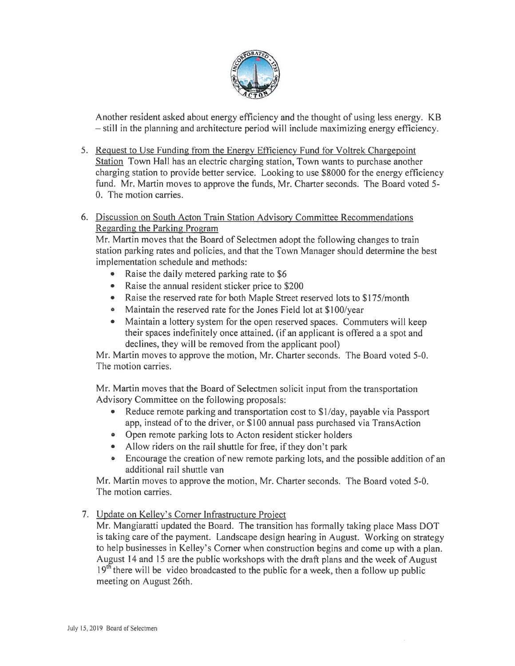

Another resident asked about energy efficiency and the thought of using less energy. KB — still in the planning and architecture period will include maximizing energy efficiency.

- 5. Request to Use funding from the Energy Efficiency Fund for Voltrek Chargepoint Station Town Hall has an electric charging station, Town wants to purchase another charging station to provide better service. Looking to use \$8000 for the energy efficiency fund. Mr. Martin moves to approve the funds, Mr. Charter seconds. The Board voted 5- 0. The motion carries.
- 6. Discussion on South Acton Train Station Advisory Committee Recommendations Regarding the Parking Program

Mr. Martin moves that the Board of Selectmen adopt the following changes to train station parking rates and policies, and that the Town Manager should determine the best implementation schedule and methods:

- Raise the daily metered parking rate to \$6
- Raise the annual resident sticker price to \$200
- Raise the reserved rate for both Maple Street reserved lots to \$175/month
- Maintain the reserved rate for the Jones Field lot at \$100/year
- Maintain <sup>a</sup> lottery system for the open reserved spaces. Commuters will keep their spaces indefinitely once attained. (if an applicant is offered <sup>a</sup> <sup>a</sup> spo<sup>t</sup> and declines, they will be removed from the applicant pool)

Mr. Martin moves to approve the motion, Mr. Charter seconds. The Board voted 5-0. The motion carries.

Mr. Martin moves that the Board of Selectmen solicit input from the transportation Advisory Committee on the following proposals:

- Reduce remote parking and transportation cost to \$1/day, payable via Passport app, instead of to the driver, or \$100 annual pass purchased via TransAction
- Open remote parking lots to Acton resident sticker holders
- Allow riders on the rail shuttle for free, if they don't park
- Encourage the creation of new remote parking lots, and the possible addition of an additional rail shuttle van

Mr. Martin moves to approve the motion, Mr. Charter seconds. The Board voted 5-0. The motion carries.

7. Update on Kelley's Corner Infrastructure Project

Mr. Mangiaratti updated the Board. The transition has formally taking <sup>p</sup>lace Mass DOT is taking care of the payment. Landscape design hearing in August. Working on strategy to help businesses in Kelley's Corner when construction begins and come up with <sup>a</sup> <sup>p</sup>lan. August 14 and 15 are the public workshops with the draft plans and the week of August 19<sup>th</sup> there will be video broadcasted to the public for a week, then a follow up public meeting on August 26th.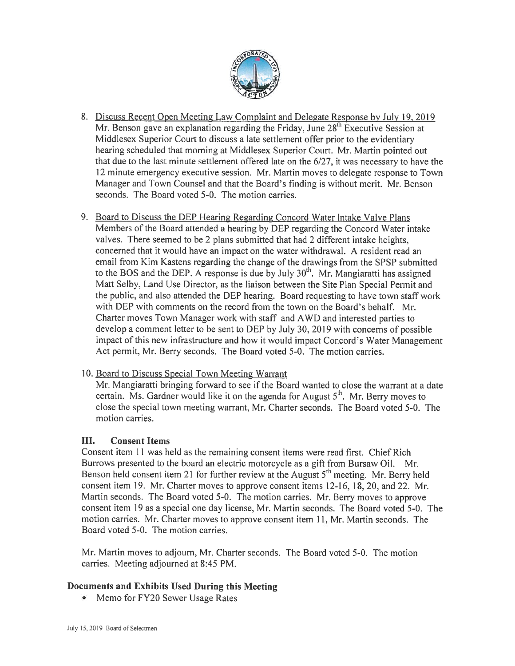

- 8. Discuss Recent Open Meeting Law Complaint and Delegate Response by July 19. <sup>2019</sup> Mr. Benson gave an explanation regarding the Friday, June  $28<sup>th</sup>$  Executive Session at Middlesex Superior Court to discuss <sup>a</sup> late settlement offer prior to the evidentiary hearing scheduled that morning at Middlesex Superior Court. Mr. Martin pointed out that due to the last minute settlement offered late on the 6/27, it was necessary to have the 12 minute emergency executive session. Mr. Martin moves to delegate response to Town Manager and Town Counsel and that the Board's finding is without merit. Mr. Benson seconds. The Board voted 5-0. The motion carries.
- 9. Board to Discuss the DEP Hearing Regarding Concord Water Intake Valve Plans Members of the Board attended <sup>a</sup> hearing by DEP regarding the Concord Water intake valves. There seemed to be 2 plans submitted that had 2 different intake heights. concerned that it would have an impact on the water withdrawal. A resident read an email from Kim Kastens regarding the change of the drawings from the SPSP submitted to the BOS and the DEP. A response is due by July  $30<sup>th</sup>$ . Mr. Mangiaratti has assigned Matt Selby, Land Use Director, as the liaison between the Site Plan Special Permit and the public, and also attended the DEP hearing. Board requesting to have town staff work with DEP with comments on the record from the town on the Board's behalf. Mr. Charter moves Town Manager work with staff and AWD and interested parties to develop <sup>a</sup> comment letter to be sent to DEP by July 30, 2019 with concerns of possible impact of this new infrastructure and how it would impact Concord's Water Management Act permit, Mr. Berry seconds. The Board voted 5-0. The motion carries.

### 10. Board to Discuss Special Town Meeting Warrant

Mr. Mangiaratti bringing forward to see if the Board wanted to close the warrant at <sup>a</sup> date certain. Ms. Gardner would like it on the agenda for August  $5<sup>th</sup>$ . Mr. Berry moves to close the special town meeting warrant, Mr. Charter seconds. The Board voted 5-0. The motion carries.

### III. Consent Items

Consent item 11 was held as the remaining consent items were read first. Chief Rich Burrows presented to the board an electric motorcycle as <sup>a</sup> gift from Bursaw Oil. Mr. Benson held consent item 21 for further review at the August  $5<sup>th</sup>$  meeting. Mr. Berry held consent item 19. Mr. Charter moves to approve consent items 12-16, 18,20, and 22. Mr. Martin seconds. The Board voted 5-0. The motion carries. Mr. Berry moves to approve consent item 19 as <sup>a</sup> special one day license, Mr. Martin seconds. The Board voted 5-0. The motion carries. Mr. Charter moves to approve consent item 11, Mr. Martin seconds. The Board voted 5-0. The motion carries.

Mr. Martin moves to adjourn. Mr. Charter seconds. The Board voted 5-0. The motion carries. Meeting adjourned at 8:45 PM.

# Documents and Exhibits Used During this Meeting

• Memo for FY20 Sewer Usage Rates